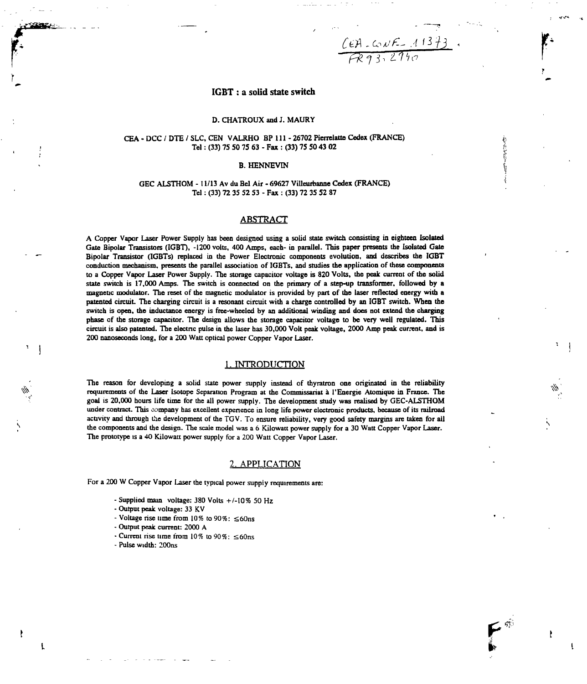### **IGBT : a solid state switch**

#### **D. CHATROUX and J. MAURY**

### **CEA - DCC / DTE / SLC, CEN VALRHO BP 111 - 26702 Pierrelatte Cedex (FRANCE)** *k* Tel: (33) 75 50 75 63 - Fax: (33) 75 50 43 02

#### **B. HENNEVIN**

**Te! : (33) 75 50 75 63 - Fax : (33) 75 50 43 02 J:**

**B. HENNEVERTHERNEVERTHERNEVERTHERNEVERTHERNE**VERTHERNEVERTHERNEVERTHERNEVERTHERNEVERTHERNEVERTHERNEVERTHERNEVERTH

 $rac{L4A-COWF-11373}{FR93.2940}$ .

ł

ŧ

#### GEC ALSTHOM - 11/13 Av du Bel Air - 69627 Villeurbanne Cedex (FRANCE) Tel: (33) 72 35 52 53 - Fax: (33) 72 35 52 87

### ABSTRACT

**A Copper Vapor Laser Power Supply has been designed using a solid state switch consisting in eighteen Isolated Gate Bipolar Transistors (IGBT), -1200 volts, 400 Amps, each- in parallel. This paper presents the Isolated Gate Bipolar Transistor (IGBTs) replaced in the Power Electronic components evolution, and describes the IGBT ' conduction mechanism, presents the parallel association of IGBTs, and studies the application of these components to a Copper Vapor Laser Power Supply. The storage capacitor voltage is 820 Volts, the peak current of the solid state switch is 17,000 Amps. The switch is connected on the primary of a step-up transformer, followed by a magnetic modulator. The reset of the magnetic modulator is provided by part of the laser reflected energy with a patented circuit. The charging circuit is a resonant circuit with a charge controlled by an IGBT switch. When the switch is open, the inductance energy is free-wheeled by an additional winding and does not extend the charging phase of the storage capacitor. The design allows the storage capacitor voltage to be very well regulated. This circuit is also patented. The electric pulse in the laser has 30,000 Volt peak voltage, 2000 Amp peak current, and is 200 nanoseconds long, for a 200 WaU optical power Copper Vapor Laser.**

### 1. INTRODUCTION

The reason for developing a solid state power supply instead of thyratron one originated in the reliability requirements of the Laser isotope Separation Program at the Commissariat à l'Energie Atomique in France. The **goal is 20,000 hours life time for the all power supply. The development study was realised by GEC-ALSTHOM under contract. This company has excellent experience in long life power electronic products, because of its railroad activity and through** *the* **development of the TGV. To ensure reliability, very good safety margins are taken for all , the components and the design. The scale model was a 6 Kilowatt power supply for a 30 Watt Copper Vapor Laser. The prototype is a 40 Kilowatt power supply for a 200 Watt Copper Vapor Laser.**

#### 2. APPLICATION

**For a 200 W Copper Vapor Laser the typical power supply requirements are:**

- **Supplied main voltage: 380 Volts +/-10% 50 Hz**
- **Output peak voltage: 33 KV**
- **Voltage rise time from 10% to 90%: £60ns ' •**
- **Output peak current: 2000 A**
- **Current rise time from 10% to 90%: £60ns**
- **Pulse width: 200ns**

 $\mathbf{r}$ **f**

ŧ

 $\mathbf{I}$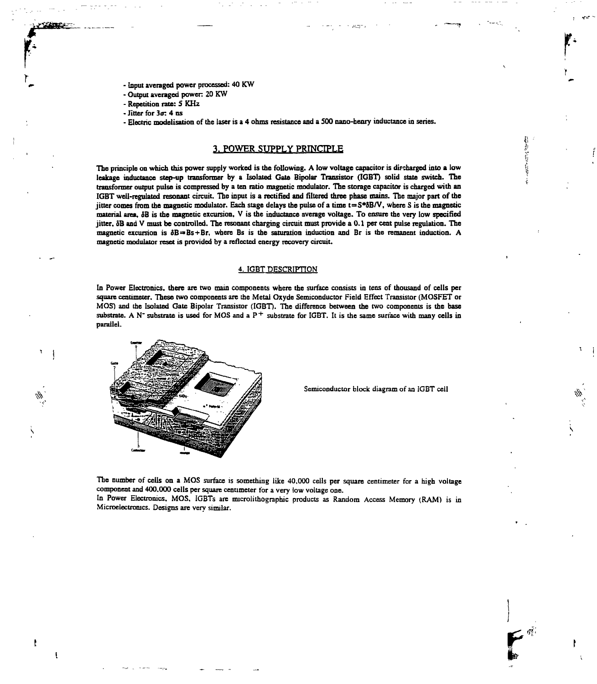- **Input averaged power processed: 40 KW**
- **Output averaged power 20 KW**
- **Repetition rate: S KHz**
- **Jitter for 3a: 4 ns**

Zenaty.

**- Electric modélisation of the laser is a 4 ohms resistance and a SOO nano-henry inductance in series.**

## **3. POWER SUPPLY PRINCIPLE**

**The principle on which this power supply worked is the following. A low voltage capacitor is discharged into a low leakage inductance step-up transformer by a Isolated Gate Bipolar Transistor (IGBT) solid state switch. The transformer output pulse is compressed by a ten ratio magnetic modulator. The storage capacitor is charged with an IGBT well-regulated resonant circuit. The input is a rectified and filtered three phase mains. The major part of the jitter comes from the magnetic modulator. Each stage delays the pulse of a time t=S\*ÎB/V, where S is the magnetic material area, 5B is the magnetic excursion, V is the inductance average voltage. To ensure the very low specified jitter, 5B and V must be controlled. The resonant charging circuit must provide a 0.1 per cent pulse regulation. The** magnetic excursion is  $\delta B = Bs + Br$ , where Bs is the saturation induction and Br is the remanent induction. A **magnetic modulator reset is provided by a reflected energy recovery circuit.**

#### **4. IGBT DESCRIPTION**

**In Power Electronics, there are two main components where the surface consists in tens of thousand of cells per square centimeter. These two components are the Metal Oxyde Semiconductor Field Effect Transistor (MOSFET or MOS) and the Isolated Gate Bipolar Transistor (IGBT). The difference between the two components is the base** substrate. A N<sup>+</sup> substrate is used for MOS and a P<sup>+</sup> substrate for IGBT. It is the same surface with many cells in **parallel.**



**Semiconductor block diagram of an IGBT cell**

医动物性

 $\tilde{\sigma}$ 

**The number of cells on a MOS surface is something like 40,000 cells per square centimeter for a high voltage component and 400.000 cells per square centimeter for a very low voltage one.**

**In Power Electronics, MOS, IGBTs are microlithographic products as Random Access Memory (RAM) is in Microelectronics. Designs are very similar.**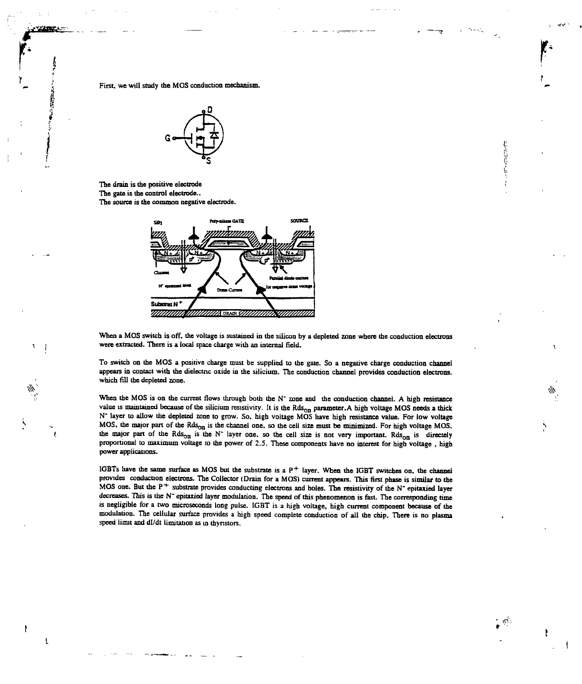**First, we will study the MOS conduction mechanism.**

**r**

 $\mathbf{t}$ 



**The drain is the positive electrode The gate is the control electrode.. The source is the common negative electrode.**



**When a MOS switch is off, the voltage is sustained in the silicon by a depleted zone where the conduction electrons were extracted. There is a local space charge with an internal field.**

**To switch on the MOS a positive charge must be supplied to the gate. So a negative charge conduction channel appears in contact with the dielectric oxide in the silicium. The conduction channel provides conduction electrons, which fill the depleted zone.**

When the MOS is on the current flows through both the N<sup>-</sup> zone and the conduction channel. A high resistance **value is maintained because of the silicium resistivity. It is the RdS0n parameter. A high voltage MOS needs a thick N" layer to allow the depleted zone to grow. So, high voltage MOS have high resistance value. For low voltage** MOS, the major part of the Rds<sub>on</sub> is the channel one, so the cell size must be minimized. For high voltage MOS, the major part of the Rds<sub>on</sub> is the N<sup>\*</sup> layer one. so the cell size is not very important. Rds<sub>on</sub> is directely **proportional to maximum voltage to the power of 2.5. These components nave no interest for high voltage , high power applications.**

**IGBTs have die same surface as MOS but the substrate is a P <sup>+</sup> layer. When the IGBT switches on, the channel provides conduction electrons. The Collector (Drain for a MOS) current appears. This first phase is similar to the** MOS one. But the P<sup>+</sup> substrate provides conducting electrons and holes. The resistivity of the N<sup>-</sup> epitaxied layer **decreases. This is the N" epitaxied layer modulation. The speed of this phenomenon is fast. The corresponding lime is negligible for a two microseconds long pulse. IGBT is a high voltage, high current component because of the modulation. The cellular surface provides a high speed complete conduction of all the chip. There is no plasma speed limit and dl/dt limitation as in thynstors.**

زكاتيم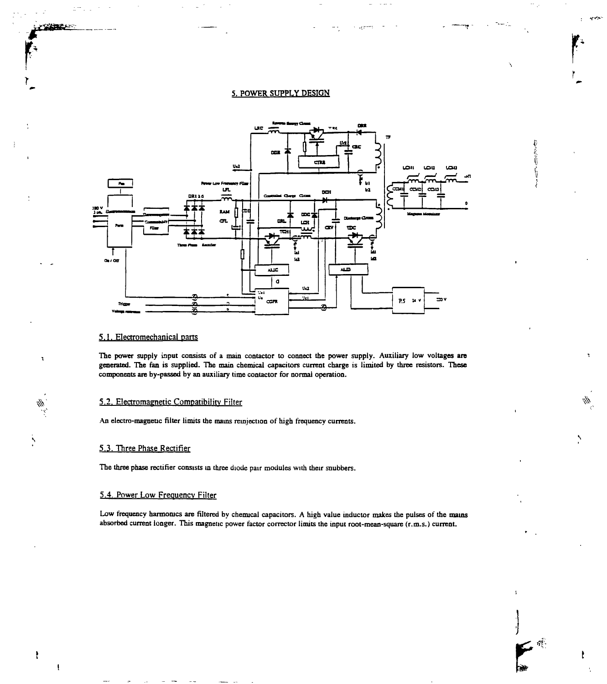### **5. POWER SUPPLY DESIGN**

*r r*

ħ

 $\leq$ 



### **5.1. Electromechanical parts**

**SERV** 

 $\tilde{\mathbf{z}}$ 

lln

ł

ŧ

**The power supply input consists of a main contactor to connect the power supply. Auxiliary low voltages are generated. The fan is supplied. The main chemical capacitors current charge is limited by three resistors. These components are by-passed by an auxiliary time contactor for normal operation.**

### **5.2. Electromagnetic Compatibility Filter**

**An electro-magnetic filter limits the mams reinjection of high frequency currents.**

## **5.3. Three Phase Rectifier**

**The three phase rectifier consists in three diode pair modules with their snubbers.**

#### **5.4. Power Low Frequency Filter**

**Low frequency harmonics are filtered by chemical capacitors. A high value inductor makes the pulses of the mains absorbed current longer. This magnetic power factor corrector limits the input root-mean-square (r.m.s.) current.**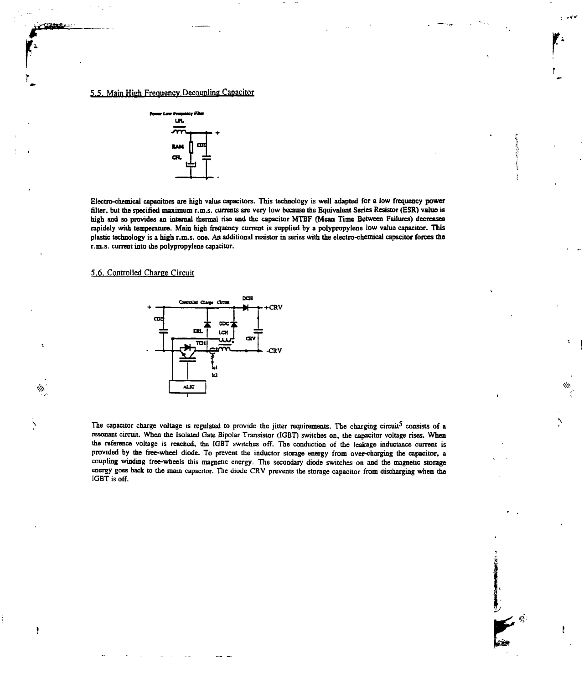## **5 5 Main Hieh Freauencv Hecnunling Capacitor**

**f**

À

111

١

ł

**TESTER** 



**Electro-chemical capacitors are high value capacitors. This technology is well adapted for a low frequency power filter, but the specified maximum r.m.s. currents are very low because the Equivalent Series Resistor (ESR) value is high and so provides an internal thermal rise and the capacitor MTBF (Mean Time Between Failures) decreases rapidely with temperature. Main high frequency current is supplied by a polypropylene low value capacitor. This plastic technology is a high r.m.s. one. An additional resistor in series with the electro-chemical capacitor forces the r.m.s. current into the polypropylene capacitor.**

## **5.6. Controlled Charge Circuit**



**The capacitor charge voltage is regulated to provide the jitter requirements. The charging circuit^ consists of a resonant circuit. When the Isolated Gate Bipolar Transistor (IGBT) switches on, the capacitor voltage rises. When the reference voltage is reached, the IGBT switches off. The conduction of the leakage inductance current is provided by the free-wheel diode. To prevent the inductor storage energy from over-charging the capacitor, a coupling winding free-wheels this magnetic energy. The secondary diode switches on and the magnetic storage energy goes back to the main capacitor. The diode CRV prevents the storage capacitor from discharging when the IGBT is off.**



**r**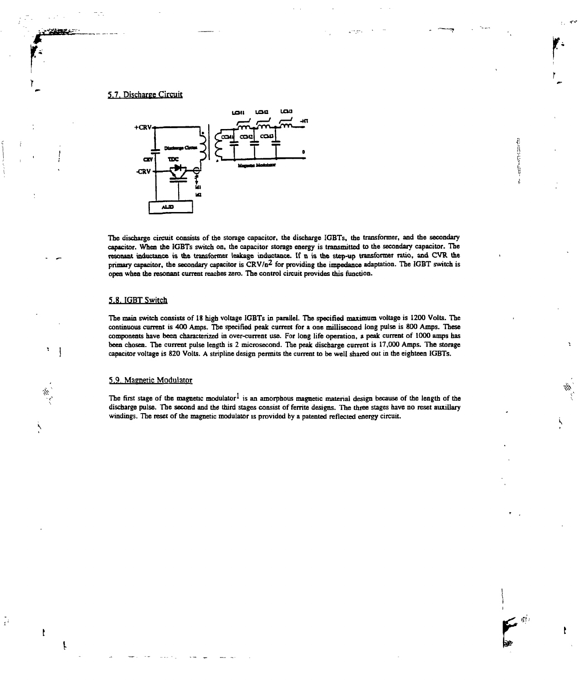# **5.7. Discharge Circuit**

**SAME AND** 

١

 $\frac{1}{k}$ 

ŧ



**The discharge circuit consists of the storage capacitor, the discharge IGBTs, the transformer, and the secondary capacitor. When the IGBTs switch on, the capacitor storage energy is transmitted to the secondary capacitor. The resonant inductance is the transformer leakage inductance. If n is the step-up transformer ratio, and CVR the** primary capacitor, the secondary capacitor is  $CRV/n^2$  for providing the impedance adaptation. The IGBT switch is **open when the resonant current reaches zero. The control circuit provides this function.**

een-an-City

F

ŧ

### **5.8. IGBT Switch**

**The main switch consists of 18 high voltage IGBTs in parallel. The specified maximum voltage is 1200 Volts. The continuous current is 400 Amps. The specified peak current for a one millisecond long pulse is 800 Amps. These components have been characterized in over-current use. For long life operation, a peak current of 1000 amps has been chosen. The current pulse length is 2 microsecond. The peak discharge current is 17,000 Amps. The storage capacitor voltage is 820 Volts. A stnpiine design permits the current to be well shared out in the eighteen IGBTs.**

### **5.9, Magnetic Modulator**

**The first stage of the magnetic modulator' is an amorphous magnetic material design because of the length of the discharge pulse. The second and the third stages consist of ferrite designs. The three stages have no reset auxiliary windings. The reset of the magnetic modulator is provided by a patented reflected energy circuit.**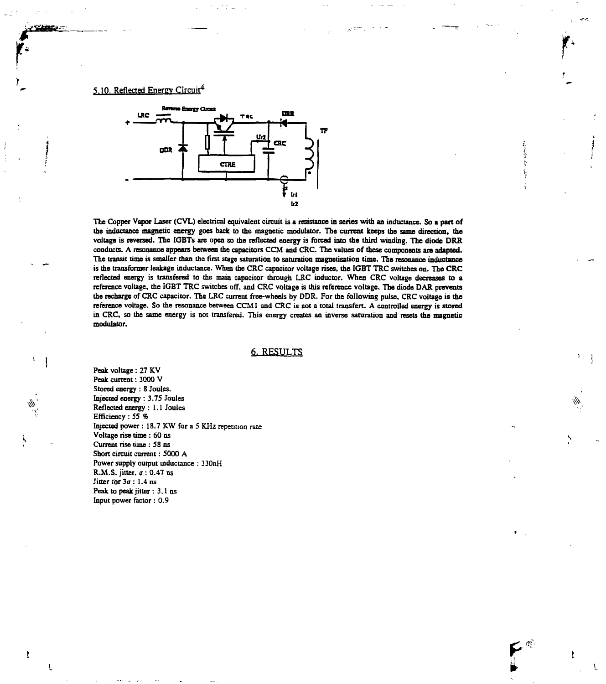# 5.10. Reflected Energy Circuit<sup>4</sup>

**r**

ŧ



**The Copper Vapor Laser (CVL) electrical equivalent circuit is a resistance in series with an inductance. So a part of the inductance magnetic energy goes back to the magnetic modulator. The current keeps the same direction, the voltage is reversed. The IGBTs are open so the reflected energy is forced into the third winding. The diode DRR conducts. A resonance appears between the capacitors CCM and CRC. The values of these components are adapted. The transit time is smaller than the first stage saturation to saturation magnetisation time. The resonance inductance is the transformer leakage inductance. When the CRC capacitor voltage rises, the IGBT TRC switches on. The CRC reflected energy is transfered to the main capacitor through LRC inductor. When CRC voltage decreases to a reference voltage, the IGBT TRC switches off, and CRC voltage is this reference voltage. The diode DAR prevents the recharge of CRC capacitor. The LRC current free-wheels by DDR. For the following pulse, CRC voltage is the reference voltage. So the resonance between CCMl and CRC is oot a total transfert. A controlled energy is stored in CRC, so the same energy is not transfered. This energy creates an inverse saturation and resets the magnetic modulator.**

**r-**

**Contact of the Second Second** 

 $\frac{1}{2}$ 

 $\mathcal{L}^{\alpha}$ 

 $\mathfrak{t}$ 

## 6. RESULTS

**Peak voltage : 27 KV Peak current : 3000 V Stored energy : 8 Joules. Injected energy : 3.75 Joules Reflected energy : 1.1 Joules Efficiency : 55** *%* **Injected power : 18.7 KW for a 5 KHz repetition rate Voltage rise time : 60 ns Current rise time : 58 ns Short circuit current : 5000 A Power supply output inductance : 33OnH R.M.S. jitter,** *a :* **0.47 ns Jitter for 3a : 1.4 ns Peak to peak jitter : 3.1 ns Input power factor : 0.9**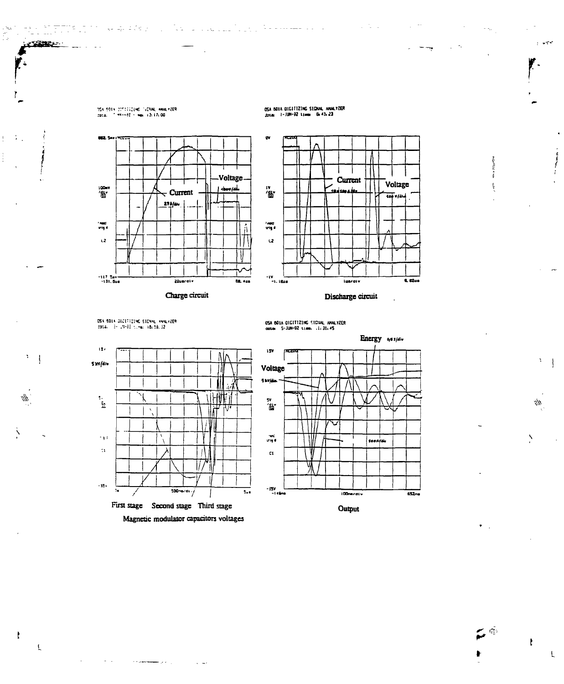**.-a:». ' •••••!• • •• IÎ ir.oo**

**CARL STATE** 

¥  $\overline{1}$ 

H)

Ł

 $\bar{\mathbf{L}}$ 





in.<br>Santana



A.

**r-**

**Definition of Allema** 

ę.

 $\mathbf{z}$ 

 $\pmb{\mathfrak{k}}$ 

 $\mathsf{L}$ 

 $\mathbb{R}^{d}$  with  $\mathbb{R}^{d}$ 

**Charge circuit Discharge circuit**

 $\bar{\bar{z}}$ 

**DS\* 501« JlLTiIiNC £ICN«L \*** *••r.1,* **:- .'!•== -..-s, i6::3.**

**OSA 601A OtCITIZlNC '.ICIIAl. ANALTZE!) datai 5-JLH-92 u » .1:31.'5**



**Magnetic modulator capacitors voltages**

y.



**Output**